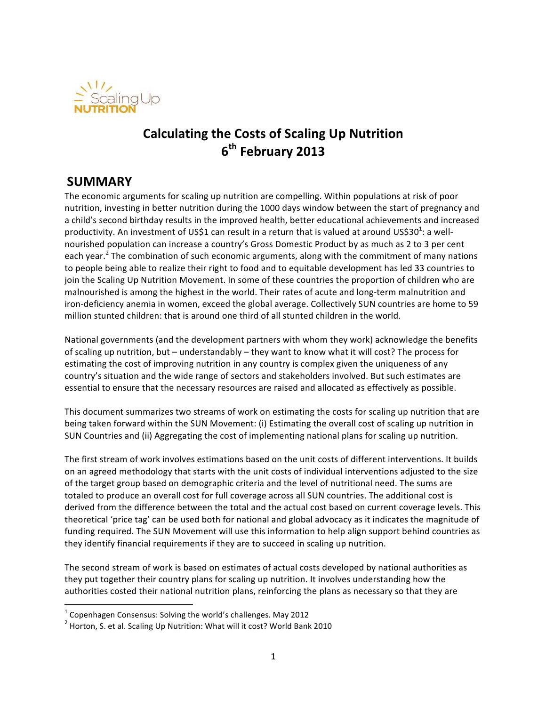

# **Calculating the Costs of Scaling Up Nutrition 6th February 2013**

## **SUMMARY**

The economic arguments for scaling up nutrition are compelling. Within populations at risk of poor nutrition, investing in better nutrition during the 1000 days window between the start of pregnancy and a child's second birthday results in the improved health, better educational achievements and increased productivity. An investment of US\$1 can result in a return that is valued at around US\$30<sup>1</sup>: a wellnourished population can increase a country's Gross Domestic Product by as much as 2 to 3 per cent each year.<sup>2</sup> The combination of such economic arguments, along with the commitment of many nations to people being able to realize their right to food and to equitable development has led 33 countries to join the Scaling Up Nutrition Movement. In some of these countries the proportion of children who are malnourished is among the highest in the world. Their rates of acute and long-term malnutrition and iron-deficiency anemia in women, exceed the global average. Collectively SUN countries are home to 59 million stunted children: that is around one third of all stunted children in the world.

National governments (and the development partners with whom they work) acknowledge the benefits of scaling up nutrition, but – understandably – they want to know what it will cost? The process for estimating the cost of improving nutrition in any country is complex given the uniqueness of any country's situation and the wide range of sectors and stakeholders involved. But such estimates are essential to ensure that the necessary resources are raised and allocated as effectively as possible.

This document summarizes two streams of work on estimating the costs for scaling up nutrition that are being taken forward within the SUN Movement: (i) Estimating the overall cost of scaling up nutrition in SUN Countries and (ii) Aggregating the cost of implementing national plans for scaling up nutrition.

The first stream of work involves estimations based on the unit costs of different interventions. It builds on an agreed methodology that starts with the unit costs of individual interventions adjusted to the size of the target group based on demographic criteria and the level of nutritional need. The sums are totaled to produce an overall cost for full coverage across all SUN countries. The additional cost is derived from the difference between the total and the actual cost based on current coverage levels. This theoretical 'price tag' can be used both for national and global advocacy as it indicates the magnitude of funding required. The SUN Movement will use this information to help align support behind countries as they identify financial requirements if they are to succeed in scaling up nutrition.

The second stream of work is based on estimates of actual costs developed by national authorities as they put together their country plans for scaling up nutrition. It involves understanding how the authorities costed their national nutrition plans, reinforcing the plans as necessary so that they are

<u> 1989 - Johann Stein, fransk politiker (d. 1989)</u>

 $1$  Copenhagen Consensus: Solving the world's challenges. May 2012

 $2$  Horton, S. et al. Scaling Up Nutrition: What will it cost? World Bank 2010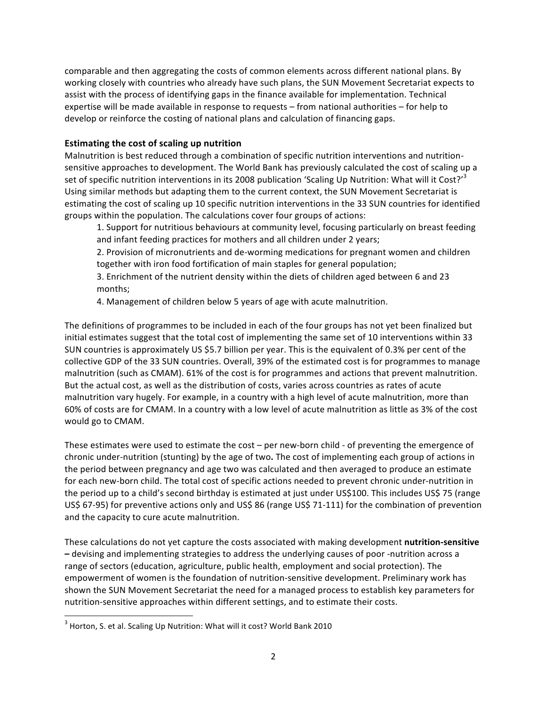comparable and then aggregating the costs of common elements across different national plans. By working closely with countries who already have such plans, the SUN Movement Secretariat expects to assist with the process of identifying gaps in the finance available for implementation. Technical expertise will be made available in response to requests – from national authorities – for help to develop or reinforce the costing of national plans and calculation of financing gaps.

### **Estimating the cost of scaling up nutrition**

Malnutrition is best reduced through a combination of specific nutrition interventions and nutritionsensitive approaches to development. The World Bank has previously calculated the cost of scaling up a set of specific nutrition interventions in its 2008 publication 'Scaling Up Nutrition: What will it Cost?'<sup>3</sup> Using similar methods but adapting them to the current context, the SUN Movement Secretariat is estimating the cost of scaling up 10 specific nutrition interventions in the 33 SUN countries for identified groups within the population. The calculations cover four groups of actions:

1. Support for nutritious behaviours at community level, focusing particularly on breast feeding and infant feeding practices for mothers and all children under 2 years;

2. Provision of micronutrients and de-worming medications for pregnant women and children together with iron food fortification of main staples for general population;

3. Enrichment of the nutrient density within the diets of children aged between 6 and 23 months; 

4. Management of children below 5 years of age with acute malnutrition.

The definitions of programmes to be included in each of the four groups has not yet been finalized but initial estimates suggest that the total cost of implementing the same set of 10 interventions within 33 SUN countries is approximately US \$5.7 billion per year. This is the equivalent of 0.3% per cent of the collective GDP of the 33 SUN countries. Overall, 39% of the estimated cost is for programmes to manage malnutrition (such as CMAM). 61% of the cost is for programmes and actions that prevent malnutrition. But the actual cost, as well as the distribution of costs, varies across countries as rates of acute malnutrition vary hugely. For example, in a country with a high level of acute malnutrition, more than 60% of costs are for CMAM. In a country with a low level of acute malnutrition as little as 3% of the cost would go to CMAM.

These estimates were used to estimate the  $cost$  – per new-born child - of preventing the emergence of chronic under-nutrition (stunting) by the age of two. The cost of implementing each group of actions in the period between pregnancy and age two was calculated and then averaged to produce an estimate for each new-born child. The total cost of specific actions needed to prevent chronic under-nutrition in the period up to a child's second birthday is estimated at just under US\$100. This includes US\$ 75 (range US\$ 67-95) for preventive actions only and US\$ 86 (range US\$ 71-111) for the combination of prevention and the capacity to cure acute malnutrition.

These calculations do not yet capture the costs associated with making development **nutrition-sensitive** - devising and implementing strategies to address the underlying causes of poor -nutrition across a range of sectors (education, agriculture, public health, employment and social protection). The empowerment of women is the foundation of nutrition-sensitive development. Preliminary work has shown the SUN Movement Secretariat the need for a managed process to establish key parameters for nutrition-sensitive approaches within different settings, and to estimate their costs.

<u> 1989 - Johann Stein, fransk politiker (d. 1989)</u>

 $3$  Horton, S. et al. Scaling Up Nutrition: What will it cost? World Bank 2010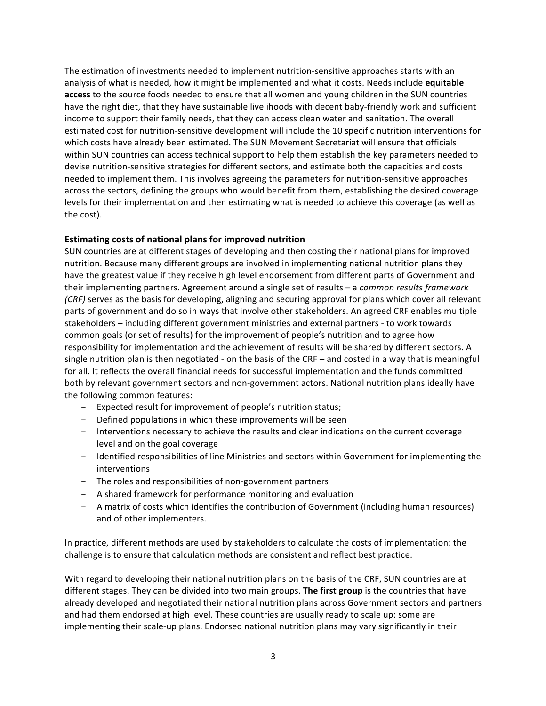The estimation of investments needed to implement nutrition-sensitive approaches starts with an analysis of what is needed, how it might be implemented and what it costs. Needs include **equitable** access to the source foods needed to ensure that all women and young children in the SUN countries have the right diet, that they have sustainable livelihoods with decent baby-friendly work and sufficient income to support their family needs, that they can access clean water and sanitation. The overall estimated cost for nutrition-sensitive development will include the 10 specific nutrition interventions for which costs have already been estimated. The SUN Movement Secretariat will ensure that officials within SUN countries can access technical support to help them establish the key parameters needed to devise nutrition-sensitive strategies for different sectors, and estimate both the capacities and costs needed to implement them. This involves agreeing the parameters for nutrition-sensitive approaches across the sectors, defining the groups who would benefit from them, establishing the desired coverage levels for their implementation and then estimating what is needed to achieve this coverage (as well as the cost).

#### **Estimating costs of national plans for improved nutrition**

SUN countries are at different stages of developing and then costing their national plans for improved nutrition. Because many different groups are involved in implementing national nutrition plans they have the greatest value if they receive high level endorsement from different parts of Government and their implementing partners. Agreement around a single set of results – a *common results framework (CRF)* serves as the basis for developing, aligning and securing approval for plans which cover all relevant parts of government and do so in ways that involve other stakeholders. An agreed CRF enables multiple stakeholders – including different government ministries and external partners - to work towards common goals (or set of results) for the improvement of people's nutrition and to agree how responsibility for implementation and the achievement of results will be shared by different sectors. A single nutrition plan is then negotiated - on the basis of the CRF – and costed in a way that is meaningful for all. It reflects the overall financial needs for successful implementation and the funds committed both by relevant government sectors and non-government actors. National nutrition plans ideally have the following common features:

- Expected result for improvement of people's nutrition status;
- Defined populations in which these improvements will be seen
- Interventions necessary to achieve the results and clear indications on the current coverage level and on the goal coverage
- Identified responsibilities of line Ministries and sectors within Government for implementing the interventions
- The roles and responsibilities of non-government partners
- A shared framework for performance monitoring and evaluation
- A matrix of costs which identifies the contribution of Government (including human resources) and of other implementers.

In practice, different methods are used by stakeholders to calculate the costs of implementation: the challenge is to ensure that calculation methods are consistent and reflect best practice.

With regard to developing their national nutrition plans on the basis of the CRF, SUN countries are at different stages. They can be divided into two main groups. The first group is the countries that have already developed and negotiated their national nutrition plans across Government sectors and partners and had them endorsed at high level. These countries are usually ready to scale up: some are implementing their scale-up plans. Endorsed national nutrition plans may vary significantly in their